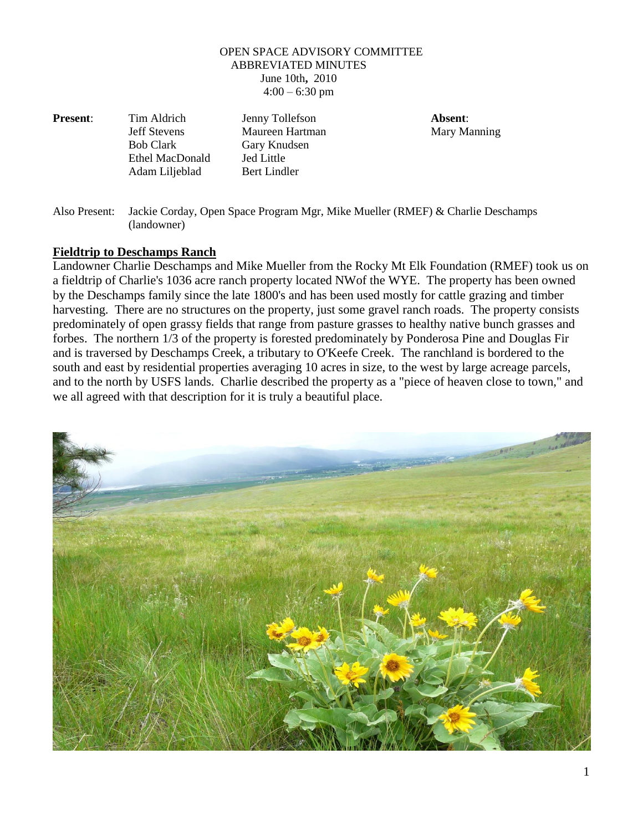## OPEN SPACE ADVISORY COMMITTEE ABBREVIATED MINUTES June 10th**,** 2010  $4:00 - 6:30$  pm

**Present**: Tim Aldrich Jenny Tollefson **Absent**: Ethel MacDonald Jed Little

Jeff Stevens Maureen Hartman Mary Manning Bob Clark Gary Knudsen Adam Liljeblad Bert Lindler

Also Present: Jackie Corday, Open Space Program Mgr, Mike Mueller (RMEF) & Charlie Deschamps (landowner)

## **Fieldtrip to Deschamps Ranch**

Landowner Charlie Deschamps and Mike Mueller from the Rocky Mt Elk Foundation (RMEF) took us on a fieldtrip of Charlie's 1036 acre ranch property located NWof the WYE. The property has been owned by the Deschamps family since the late 1800's and has been used mostly for cattle grazing and timber harvesting. There are no structures on the property, just some gravel ranch roads. The property consists predominately of open grassy fields that range from pasture grasses to healthy native bunch grasses and forbes. The northern 1/3 of the property is forested predominately by Ponderosa Pine and Douglas Fir and is traversed by Deschamps Creek, a tributary to O'Keefe Creek. The ranchland is bordered to the south and east by residential properties averaging 10 acres in size, to the west by large acreage parcels, and to the north by USFS lands. Charlie described the property as a "piece of heaven close to town," and we all agreed with that description for it is truly a beautiful place.